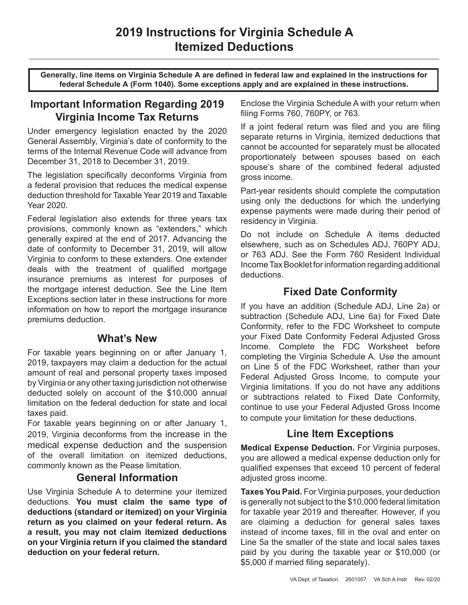**Generally, line items on Virginia Schedule A are defined in federal law and explained in the instructions for federal Schedule A (Form 1040). Some exceptions apply and are explained in these instructions.**

# **Important Information Regarding 2019 Virginia Income Tax Returns**

Under emergency legislation enacted by the 2020 General Assembly, Virginia's date of conformity to the terms of the Internal Revenue Code will advance from December 31, 2018 to December 31, 2019.

The legislation specifically deconforms Virginia from a federal provision that reduces the medical expense deduction threshold for Taxable Year 2019 and Taxable Year 2020.

Federal legislation also extends for three years tax provisions, commonly known as "extenders," which generally expired at the end of 2017. Advancing the date of conformity to December 31, 2019, will allow Virginia to conform to these extenders. One extender deals with the treatment of qualified mortgage insurance premiums as interest for purposes of the mortgage interest deduction. See the Line Item Exceptions section later in these instructions for more information on how to report the mortgage insurance premiums deduction.

#### **What's New**

For taxable years beginning on or after January 1, 2019, taxpayers may claim a deduction for the actual amount of real and personal property taxes imposed by Virginia or any other taxing jurisdiction not otherwise deducted solely on account of the \$10,000 annual limitation on the federal deduction for state and local taxes paid.

For taxable years beginning on or after January 1, 2019, Virginia deconforms from the increase in the medical expense deduction and the suspension of the overall limitation on itemized deductions, commonly known as the Pease limitation.

#### **General Information**

Use Virginia Schedule A to determine your itemized deductions. **You must claim the same type of deductions (standard or itemized) on your Virginia return as you claimed on your federal return. As a result, you may not claim itemized deductions on your Virginia return if you claimed the standard deduction on your federal return.** 

Enclose the Virginia Schedule A with your return when filing Forms 760, 760PY, or 763.

If a joint federal return was filed and you are filing separate returns in Virginia, itemized deductions that cannot be accounted for separately must be allocated proportionately between spouses based on each spouse's share of the combined federal adjusted gross income.

Part-year residents should complete the computation using only the deductions for which the underlying expense payments were made during their period of residency in Virginia.

Do not include on Schedule A items deducted elsewhere, such as on Schedules ADJ, 760PY ADJ, or 763 ADJ. See the Form 760 Resident Individual Income Tax Booklet for information regarding additional deductions.

# **Fixed Date Conformity**

If you have an addition (Schedule ADJ, Line 2a) or subtraction (Schedule ADJ, Line 6a) for Fixed Date Conformity, refer to the FDC Worksheet to compute your Fixed Date Conformity Federal Adjusted Gross Income. Complete the FDC Worksheet before completing the Virginia Schedule A. Use the amount on Line 5 of the FDC Worksheet, rather than your Federal Adjusted Gross Income, to compute your Virginia limitations. If you do not have any additions or subtractions related to Fixed Date Conformity, continue to use your Federal Adjusted Gross Income to compute your limitation for these deductions.

### **Line Item Exceptions**

**Medical Expense Deduction.** For Virginia purposes, you are allowed a medical expense deduction only for qualified expenses that exceed 10 percent of federal adjusted gross income.

**Taxes You Paid.** For Virginia purposes, your deduction is generally not subject to the \$10,000 federal limitation for taxable year 2019 and thereafter. However, if you are claiming a deduction for general sales taxes instead of income taxes, fill in the oval and enter on Line 5a the smaller of the state and local sales taxes paid by you during the taxable year or \$10,000 (or \$5,000 if married filing separately).